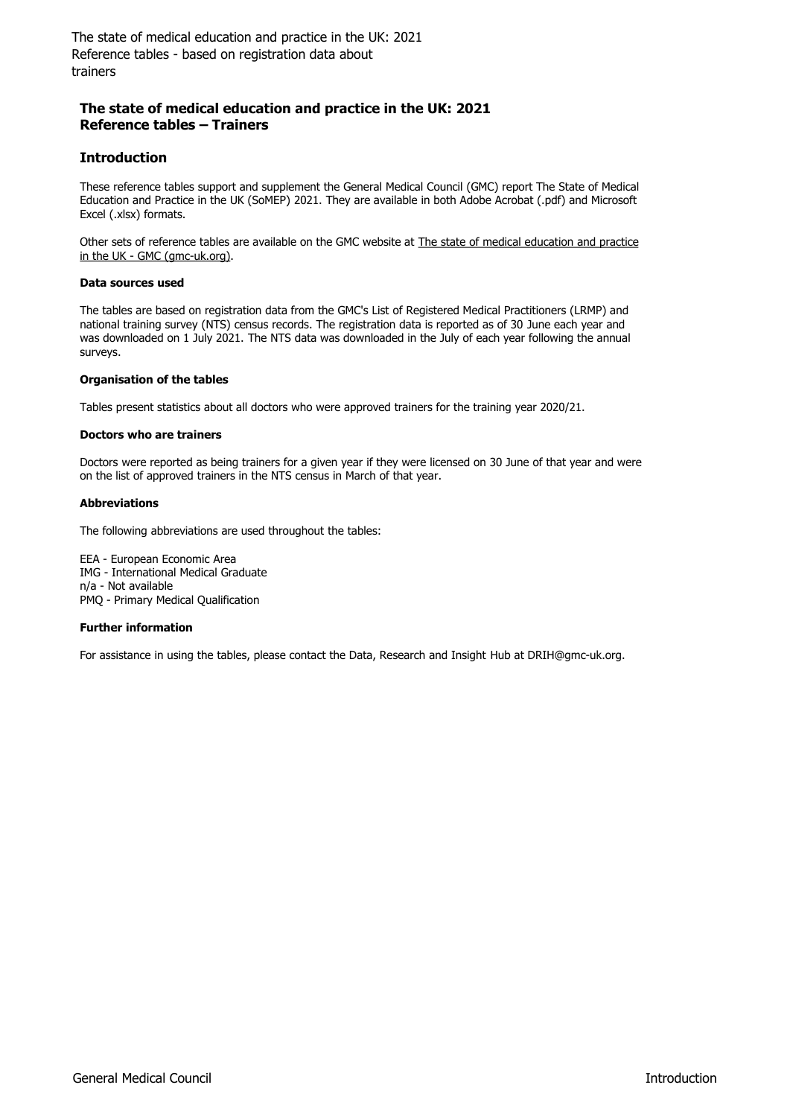### **The state of medical education and practice in the UK: 2021 Reference tables – Trainers**

### **Introduction**

These reference tables support and supplement the General Medical Council (GMC) report The State of Medical Education and Practice in the UK (SoMEP) 2021. They are available in both Adobe Acrobat (.pdf) and Microsoft Excel (.xlsx) formats.

Other sets of reference tables are available on the GMC website at The state of medical education and practice in the UK - GMC (gmc-uk.org).

### **Data sources used**

The tables are based on registration data from the GMC's List of Registered Medical Practitioners (LRMP) and national training survey (NTS) census records. The registration data is reported as of 30 June each year and was downloaded on 1 July 2021. The NTS data was downloaded in the July of each year following the annual surveys.

### **Organisation of the tables**

Tables present statistics about all doctors who were approved trainers for the training year 2020/21.

### **Doctors who are trainers**

Doctors were reported as being trainers for a given year if they were licensed on 30 June of that year and were on the list of approved trainers in the NTS census in March of that year.

### **Abbreviations**

The following abbreviations are used throughout the tables:

EEA - European Economic Area IMG - International Medical Graduate n/a - Not available PMQ - Primary Medical Qualification

#### **Further information**

For assistance in using the tables, please contact the Data, Research and Insight Hub at DRIH@gmc-uk.org.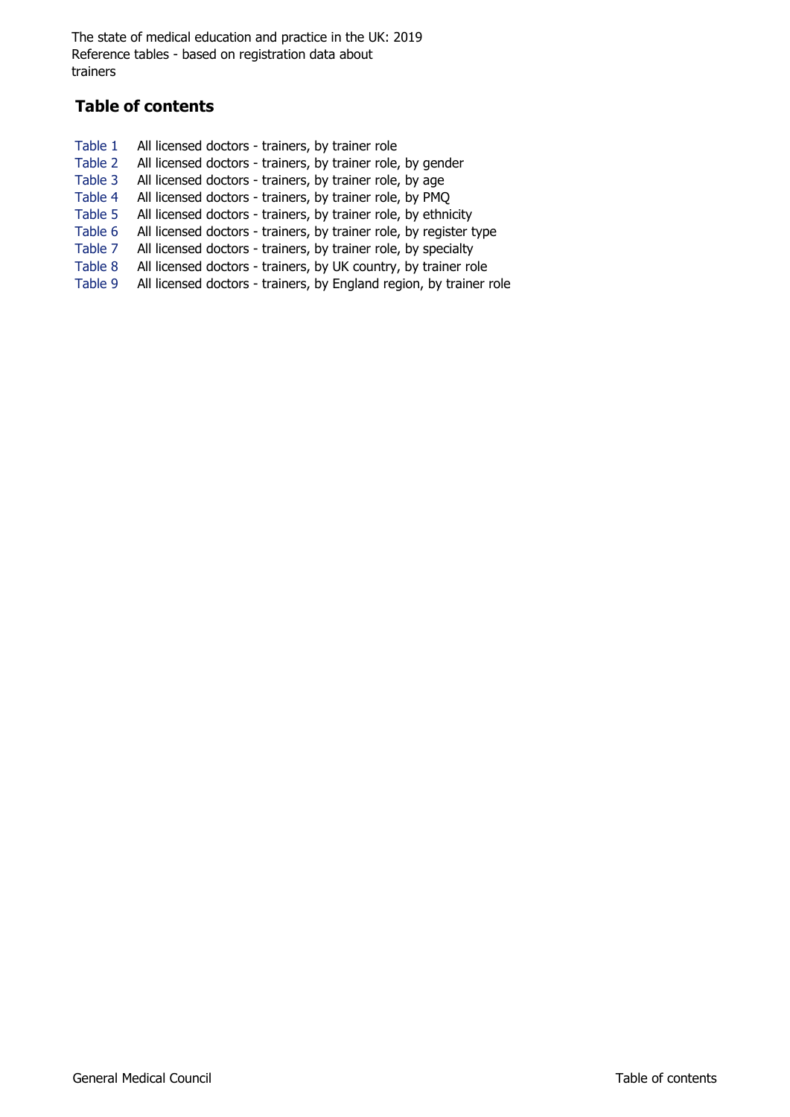# **Table of contents**

Table 1 All licensed doctors - trainers, by trainer role Table 2 All licensed doctors - trainers, by trainer role, by gender Table 3 All licensed doctors - trainers, by trainer role, by age Table 4 All licensed doctors - trainers, by trainer role, by PMQ Table 5 All licensed doctors - trainers, by trainer role, by ethnicity Table 6 All licensed doctors - trainers, by trainer role, by register type Table 7 All licensed doctors - trainers, by trainer role, by specialty Table 8 All licensed doctors - trainers, by UK country, by trainer role Table 9 All licensed doctors - trainers, by England region, by trainer role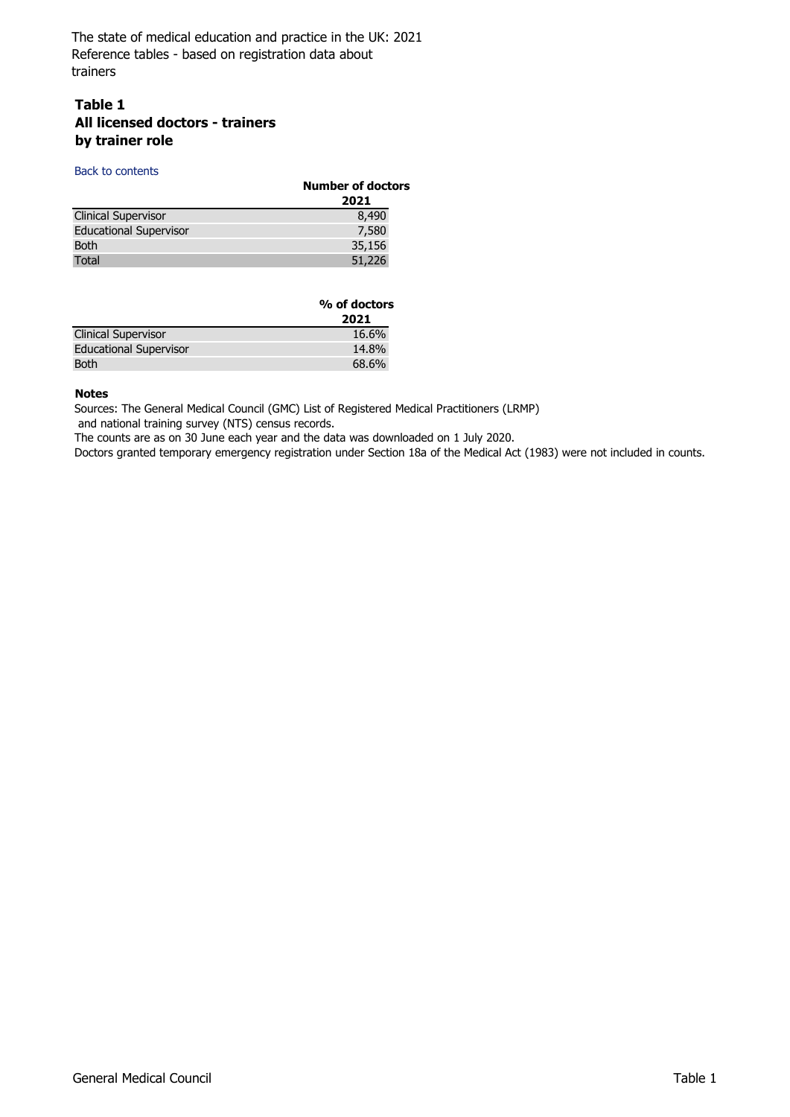### **Table 1 All licensed doctors - trainers by trainer role**

#### Back to contents

|                               | <b>Number of doctors</b> |  |
|-------------------------------|--------------------------|--|
|                               | 2021                     |  |
| <b>Clinical Supervisor</b>    | 8,490                    |  |
| <b>Educational Supervisor</b> | 7,580                    |  |
| <b>Both</b>                   | 35,156                   |  |
| Total                         | 51,226                   |  |

|                               | % of doctors |  |
|-------------------------------|--------------|--|
|                               | 2021         |  |
| <b>Clinical Supervisor</b>    | 16.6%        |  |
| <b>Educational Supervisor</b> | 14.8%        |  |
| <b>Both</b>                   | 68.6%        |  |

#### **Notes**

Sources: The General Medical Council (GMC) List of Registered Medical Practitioners (LRMP)

and national training survey (NTS) census records.

The counts are as on 30 June each year and the data was downloaded on 1 July 2020.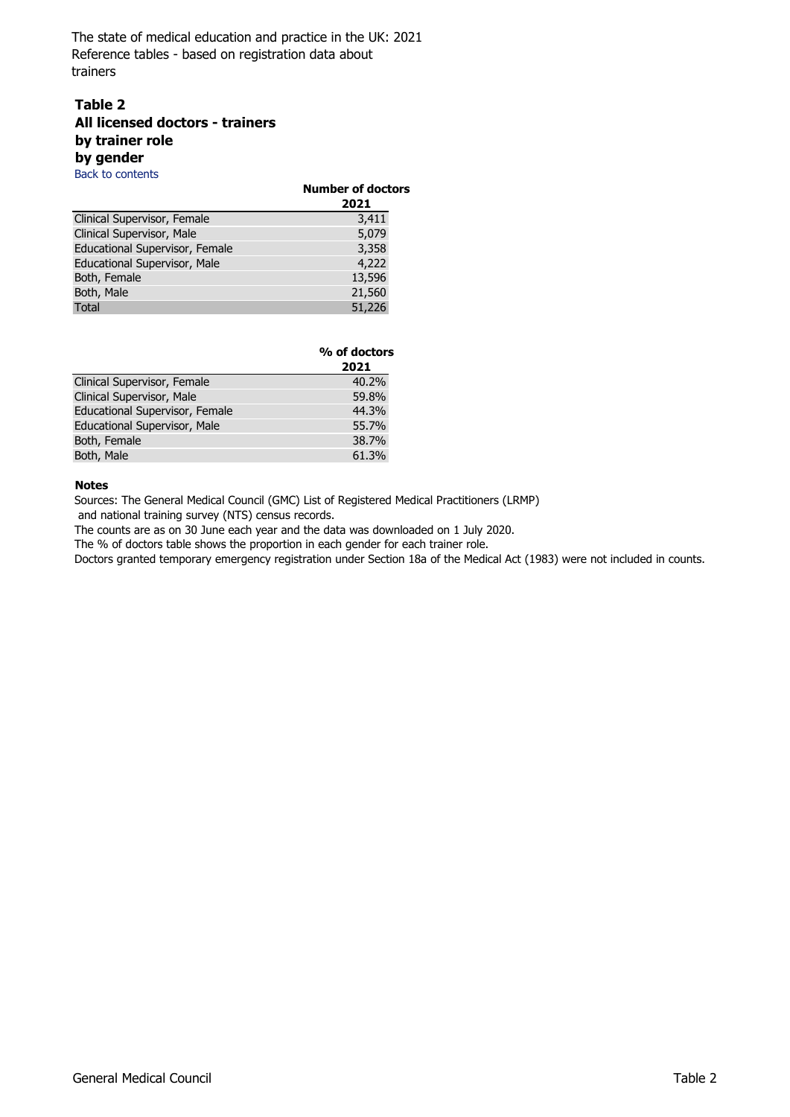### **Table 2 All licensed doctors - trainers by trainer role by gender**

Back to contents

|                                | <b>Number of doctors</b><br>2021 |
|--------------------------------|----------------------------------|
| Clinical Supervisor, Female    | 3,411                            |
| Clinical Supervisor, Male      | 5,079                            |
| Educational Supervisor, Female | 3,358                            |
| Educational Supervisor, Male   | 4,222                            |
| Both, Female                   | 13,596                           |
| Both, Male                     | 21,560                           |
| <b>Total</b>                   | 51,226                           |

|                                | % of doctors<br>2021 |
|--------------------------------|----------------------|
| Clinical Supervisor, Female    | 40.2%                |
| Clinical Supervisor, Male      | 59.8%                |
| Educational Supervisor, Female | 44.3%                |
| Educational Supervisor, Male   | 55.7%                |
| Both, Female                   | 38.7%                |
| Both, Male                     | 61.3%                |

### **Notes**

Sources: The General Medical Council (GMC) List of Registered Medical Practitioners (LRMP)

and national training survey (NTS) census records.

The counts are as on 30 June each year and the data was downloaded on 1 July 2020.

The % of doctors table shows the proportion in each gender for each trainer role.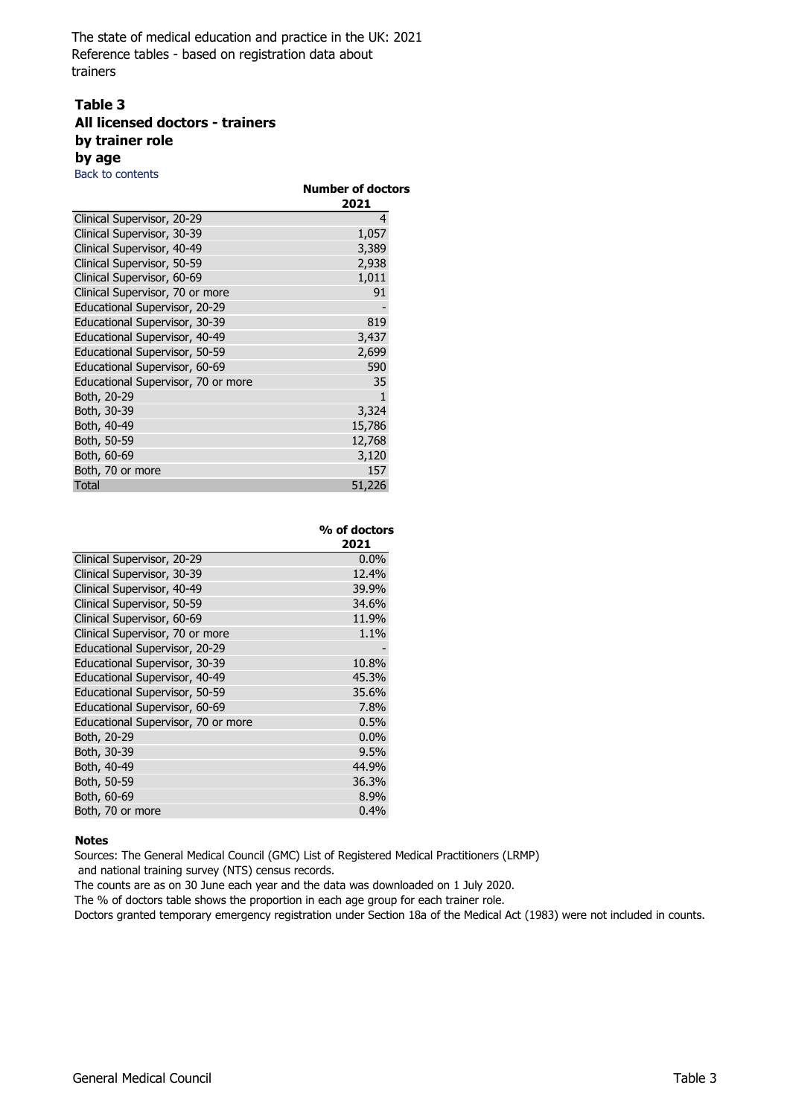## **Table 3 All licensed doctors - trainers by trainer role by age**

Back to contents

|                                    | <b>Number of doctors</b> |
|------------------------------------|--------------------------|
|                                    | 2021                     |
| Clinical Supervisor, 20-29         | 4                        |
| Clinical Supervisor, 30-39         | 1,057                    |
| Clinical Supervisor, 40-49         | 3,389                    |
| Clinical Supervisor, 50-59         | 2,938                    |
| Clinical Supervisor, 60-69         | 1,011                    |
| Clinical Supervisor, 70 or more    | 91                       |
| Educational Supervisor, 20-29      |                          |
| Educational Supervisor, 30-39      | 819                      |
| Educational Supervisor, 40-49      | 3,437                    |
| Educational Supervisor, 50-59      | 2,699                    |
| Educational Supervisor, 60-69      | 590                      |
| Educational Supervisor, 70 or more | 35                       |
| Both, 20-29                        | 1                        |
| Both, 30-39                        | 3,324                    |
| Both, 40-49                        | 15,786                   |
| Both, 50-59                        | 12,768                   |
| Both, 60-69                        | 3,120                    |
| Both, 70 or more                   | 157                      |
| Total                              | 51,226                   |

|                                    | % of doctors |
|------------------------------------|--------------|
|                                    | 2021         |
| Clinical Supervisor, 20-29         | 0.0%         |
| Clinical Supervisor, 30-39         | 12.4%        |
| Clinical Supervisor, 40-49         | 39.9%        |
| Clinical Supervisor, 50-59         | 34.6%        |
| Clinical Supervisor, 60-69         | 11.9%        |
| Clinical Supervisor, 70 or more    | 1.1%         |
| Educational Supervisor, 20-29      |              |
| Educational Supervisor, 30-39      | 10.8%        |
| Educational Supervisor, 40-49      | 45.3%        |
| Educational Supervisor, 50-59      | 35.6%        |
| Educational Supervisor, 60-69      | 7.8%         |
| Educational Supervisor, 70 or more | 0.5%         |
| Both, 20-29                        | 0.0%         |
| Both, 30-39                        | 9.5%         |
| Both, 40-49                        | 44.9%        |
| Both, 50-59                        | 36.3%        |
| Both, 60-69                        | 8.9%         |
| Both, 70 or more                   | 0.4%         |

#### **Notes**

Sources: The General Medical Council (GMC) List of Registered Medical Practitioners (LRMP)

and national training survey (NTS) census records.

The counts are as on 30 June each year and the data was downloaded on 1 July 2020.

The % of doctors table shows the proportion in each age group for each trainer role.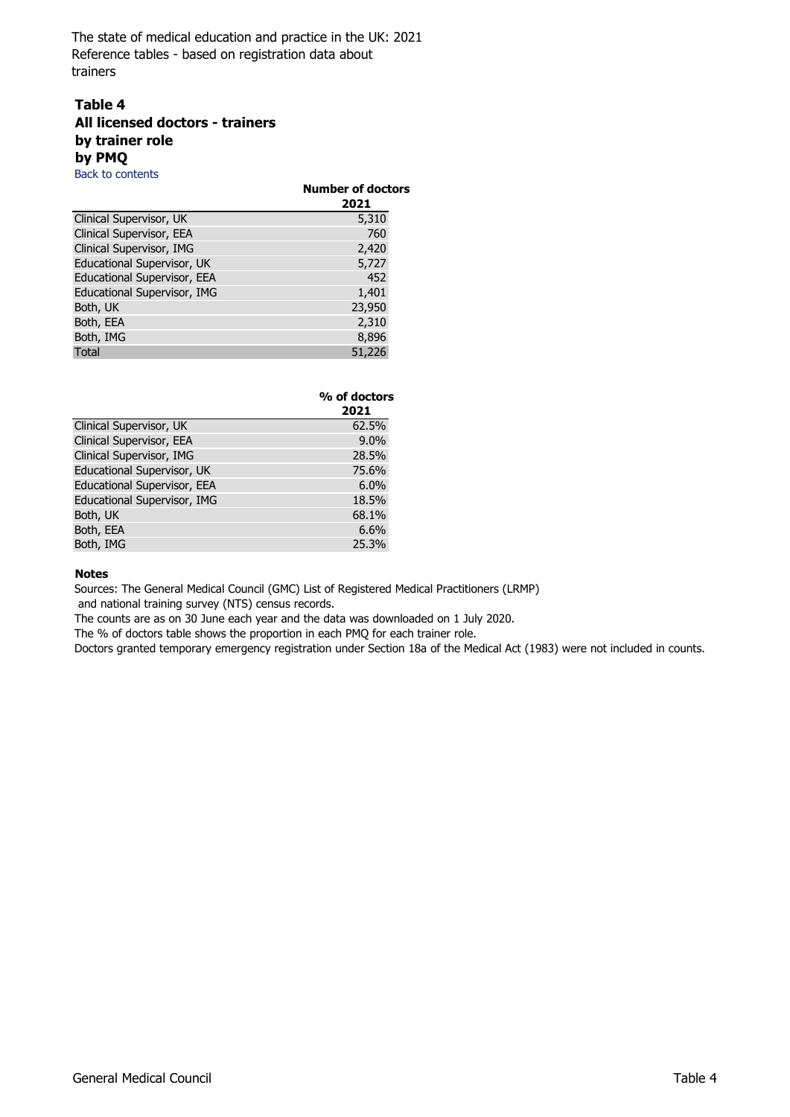## **Table 4 All licensed doctors - trainers by trainer role by PMQ**

Back to contents

|                             | <b>Number of doctors</b><br>2021 |  |
|-----------------------------|----------------------------------|--|
| Clinical Supervisor, UK     | 5,310                            |  |
| Clinical Supervisor, EEA    | 760                              |  |
| Clinical Supervisor, IMG    | 2,420                            |  |
| Educational Supervisor, UK  | 5,727                            |  |
| Educational Supervisor, EEA | 452                              |  |
| Educational Supervisor, IMG | 1,401                            |  |
| Both, UK                    | 23,950                           |  |
| Both, EEA                   | 2,310                            |  |
| Both, IMG                   | 8,896                            |  |
| <b>Total</b>                | 51,226                           |  |

|                             | % of doctors<br>2021 |
|-----------------------------|----------------------|
| Clinical Supervisor, UK     | 62.5%                |
| Clinical Supervisor, EEA    | 9.0%                 |
| Clinical Supervisor, IMG    | 28.5%                |
| Educational Supervisor, UK  | 75.6%                |
| Educational Supervisor, EEA | 6.0%                 |
| Educational Supervisor, IMG | 18.5%                |
| Both, UK                    | 68.1%                |
| Both, EEA                   | 6.6%                 |
| Both, IMG                   | 25.3%                |

### **Notes**

Sources: The General Medical Council (GMC) List of Registered Medical Practitioners (LRMP)

and national training survey (NTS) census records.

The counts are as on 30 June each year and the data was downloaded on 1 July 2020.

The % of doctors table shows the proportion in each PMQ for each trainer role.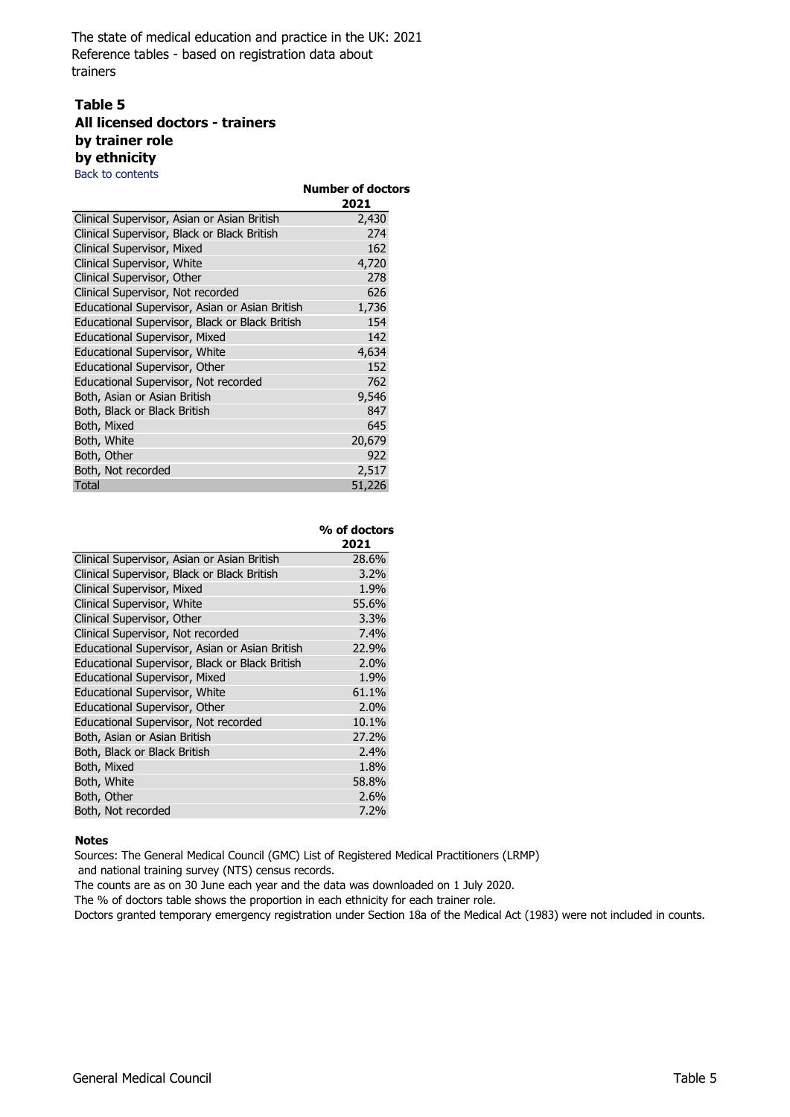## **Table 5 All licensed doctors - trainers by trainer role by ethnicity**

Back to contents

| Back to contents                               |                                  |
|------------------------------------------------|----------------------------------|
|                                                | <b>Number of doctors</b><br>2021 |
|                                                |                                  |
| Clinical Supervisor, Asian or Asian British    | 2,430                            |
| Clinical Supervisor, Black or Black British    | 274                              |
| Clinical Supervisor, Mixed                     | 162                              |
| Clinical Supervisor, White                     | 4,720                            |
| Clinical Supervisor, Other                     | 278                              |
| Clinical Supervisor, Not recorded              | 626                              |
| Educational Supervisor, Asian or Asian British | 1,736                            |
| Educational Supervisor, Black or Black British | 154                              |
| Educational Supervisor, Mixed                  | 142                              |
| Educational Supervisor, White                  | 4,634                            |
| Educational Supervisor, Other                  | 152                              |
| Educational Supervisor, Not recorded           | 762                              |
| Both, Asian or Asian British                   | 9,546                            |
| Both, Black or Black British                   | 847                              |
| Both, Mixed                                    | 645                              |
| Both, White                                    | 20,679                           |
| Both, Other                                    | 922                              |
| Both, Not recorded                             | 2,517                            |
| Total                                          | 51,226                           |

|                                                | % of doctors |
|------------------------------------------------|--------------|
|                                                | 2021         |
| Clinical Supervisor, Asian or Asian British    | 28.6%        |
| Clinical Supervisor, Black or Black British    | 3.2%         |
| Clinical Supervisor, Mixed                     | 1.9%         |
| Clinical Supervisor, White                     | 55.6%        |
| Clinical Supervisor, Other                     | 3.3%         |
| Clinical Supervisor, Not recorded              | 7.4%         |
| Educational Supervisor, Asian or Asian British | 22.9%        |
| Educational Supervisor, Black or Black British | 2.0%         |
| <b>Educational Supervisor, Mixed</b>           | 1.9%         |
| <b>Educational Supervisor, White</b>           | 61.1%        |
| Educational Supervisor, Other                  | 2.0%         |
| Educational Supervisor, Not recorded           | 10.1%        |
| Both, Asian or Asian British                   | 27.2%        |
| Both, Black or Black British                   | 2.4%         |
| Both, Mixed                                    | 1.8%         |
| Both, White                                    | 58.8%        |
| Both, Other                                    | 2.6%         |
| Both, Not recorded                             | 7.2%         |

#### **Notes**

Sources: The General Medical Council (GMC) List of Registered Medical Practitioners (LRMP)

and national training survey (NTS) census records.

The counts are as on 30 June each year and the data was downloaded on 1 July 2020.

The % of doctors table shows the proportion in each ethnicity for each trainer role.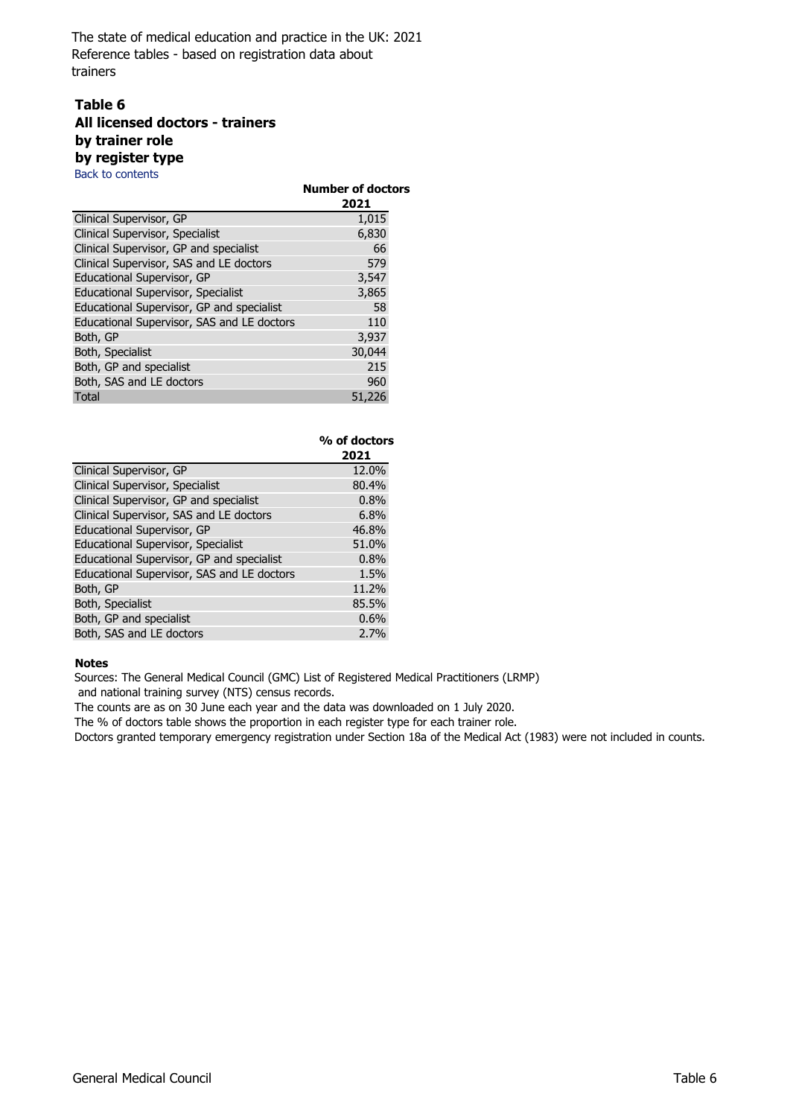## **Table 6 All licensed doctors - trainers by trainer role by register type**

Back to contents

|                                            | <b>Number of doctors</b><br>2021 |
|--------------------------------------------|----------------------------------|
| Clinical Supervisor, GP                    | 1,015                            |
| Clinical Supervisor, Specialist            | 6,830                            |
| Clinical Supervisor, GP and specialist     | 66                               |
| Clinical Supervisor, SAS and LE doctors    | 579                              |
| Educational Supervisor, GP                 | 3,547                            |
| <b>Educational Supervisor, Specialist</b>  | 3,865                            |
| Educational Supervisor, GP and specialist  | 58                               |
| Educational Supervisor, SAS and LE doctors | 110                              |
| Both, GP                                   | 3,937                            |
| Both, Specialist                           | 30,044                           |
| Both, GP and specialist                    | 215                              |
| Both, SAS and LE doctors                   | 960                              |
| Total                                      | 51,226                           |

|                                            | % of doctors<br>2021 |
|--------------------------------------------|----------------------|
| Clinical Supervisor, GP                    | 12.0%                |
| Clinical Supervisor, Specialist            | 80.4%                |
| Clinical Supervisor, GP and specialist     | 0.8%                 |
| Clinical Supervisor, SAS and LE doctors    | 6.8%                 |
| Educational Supervisor, GP                 | 46.8%                |
| <b>Educational Supervisor, Specialist</b>  | 51.0%                |
| Educational Supervisor, GP and specialist  | 0.8%                 |
| Educational Supervisor, SAS and LE doctors | 1.5%                 |
| Both, GP                                   | 11.2%                |
| Both, Specialist                           | 85.5%                |
| Both, GP and specialist                    | 0.6%                 |
| Both, SAS and LE doctors                   | 2.7%                 |

#### **Notes**

Sources: The General Medical Council (GMC) List of Registered Medical Practitioners (LRMP)

and national training survey (NTS) census records.

The counts are as on 30 June each year and the data was downloaded on 1 July 2020.

The % of doctors table shows the proportion in each register type for each trainer role.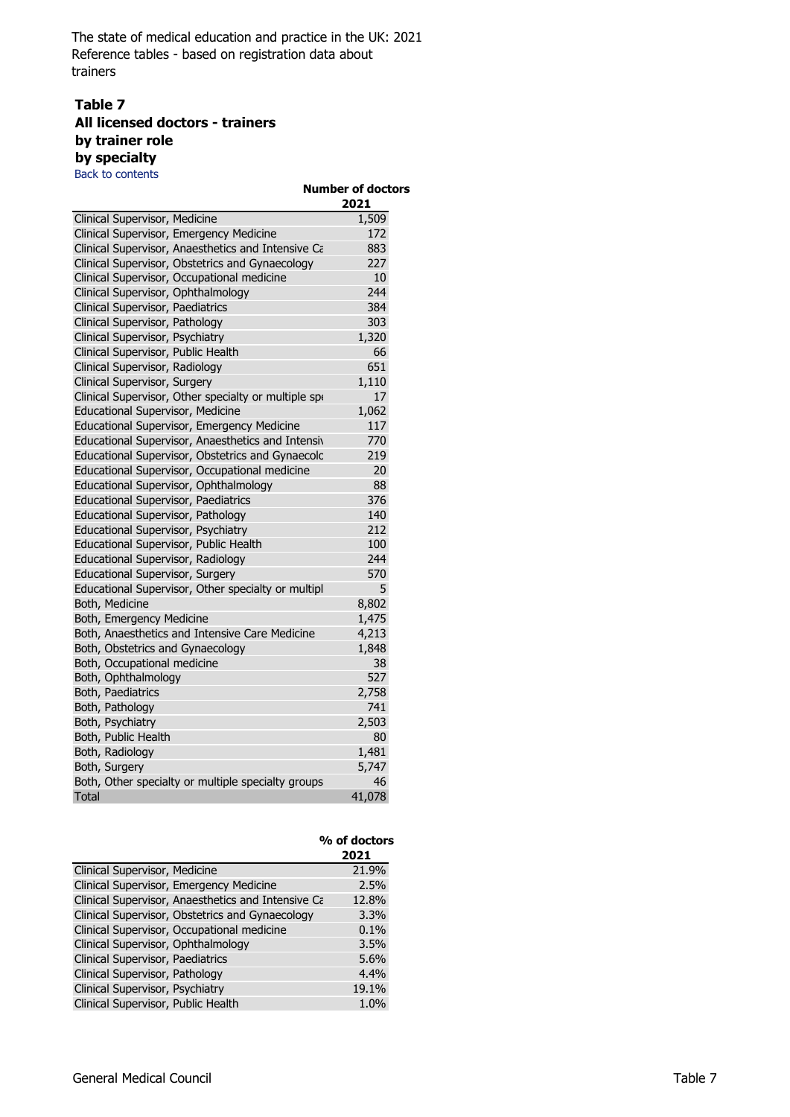## **Table 7 All licensed doctors - trainers by trainer role by specialty**

Back to contents

| <b>Back to contents</b>                              |                                  |
|------------------------------------------------------|----------------------------------|
|                                                      | <b>Number of doctors</b><br>2021 |
| Clinical Supervisor, Medicine                        | 1,509                            |
| Clinical Supervisor, Emergency Medicine              | 172                              |
| Clinical Supervisor, Anaesthetics and Intensive Ca   | 883                              |
| Clinical Supervisor, Obstetrics and Gynaecology      | 227                              |
| Clinical Supervisor, Occupational medicine           | 10                               |
| Clinical Supervisor, Ophthalmology                   | 244                              |
| Clinical Supervisor, Paediatrics                     | 384                              |
| Clinical Supervisor, Pathology                       | 303                              |
| Clinical Supervisor, Psychiatry                      | 1,320                            |
| Clinical Supervisor, Public Health                   | 66                               |
| Clinical Supervisor, Radiology                       | 651                              |
| Clinical Supervisor, Surgery                         | 1,110                            |
| Clinical Supervisor, Other specialty or multiple spo | 17                               |
| Educational Supervisor, Medicine                     | 1,062                            |
| Educational Supervisor, Emergency Medicine           | 117                              |
| Educational Supervisor, Anaesthetics and Intensiv    | 770                              |
| Educational Supervisor, Obstetrics and Gynaecolc     | 219                              |
| Educational Supervisor, Occupational medicine        | 20                               |
| Educational Supervisor, Ophthalmology                | 88                               |
| Educational Supervisor, Paediatrics                  | 376                              |
| Educational Supervisor, Pathology                    | 140                              |
| Educational Supervisor, Psychiatry                   | 212                              |
| Educational Supervisor, Public Health                | 100                              |
| Educational Supervisor, Radiology                    | 244                              |
| Educational Supervisor, Surgery                      | 570                              |
| Educational Supervisor, Other specialty or multipl   | 5                                |
| Both, Medicine                                       | 8,802                            |
| Both, Emergency Medicine                             | 1,475                            |
| Both, Anaesthetics and Intensive Care Medicine       | 4,213                            |
| Both, Obstetrics and Gynaecology                     | 1,848                            |
| Both, Occupational medicine                          | 38                               |
| Both, Ophthalmology                                  | 527                              |
| Both, Paediatrics                                    | 2,758                            |
| Both, Pathology                                      | 741                              |
| Both, Psychiatry                                     | 2,503                            |
| Both, Public Health                                  | 80                               |
| Both, Radiology                                      | 1,481                            |
| Both, Surgery                                        | 5,747                            |
| Both, Other specialty or multiple specialty groups   | 46                               |
| Total                                                | 41,078                           |

|                                                    | % of doctors<br>2021 |
|----------------------------------------------------|----------------------|
| Clinical Supervisor, Medicine                      | 21.9%                |
| Clinical Supervisor, Emergency Medicine            | 2.5%                 |
| Clinical Supervisor, Anaesthetics and Intensive Ca | 12.8%                |
| Clinical Supervisor, Obstetrics and Gynaecology    | 3.3%                 |
| Clinical Supervisor, Occupational medicine         | 0.1%                 |
| Clinical Supervisor, Ophthalmology                 | 3.5%                 |
| Clinical Supervisor, Paediatrics                   | 5.6%                 |
| Clinical Supervisor, Pathology                     | 4.4%                 |
| Clinical Supervisor, Psychiatry                    | 19.1%                |
| Clinical Supervisor, Public Health                 | 1.0%                 |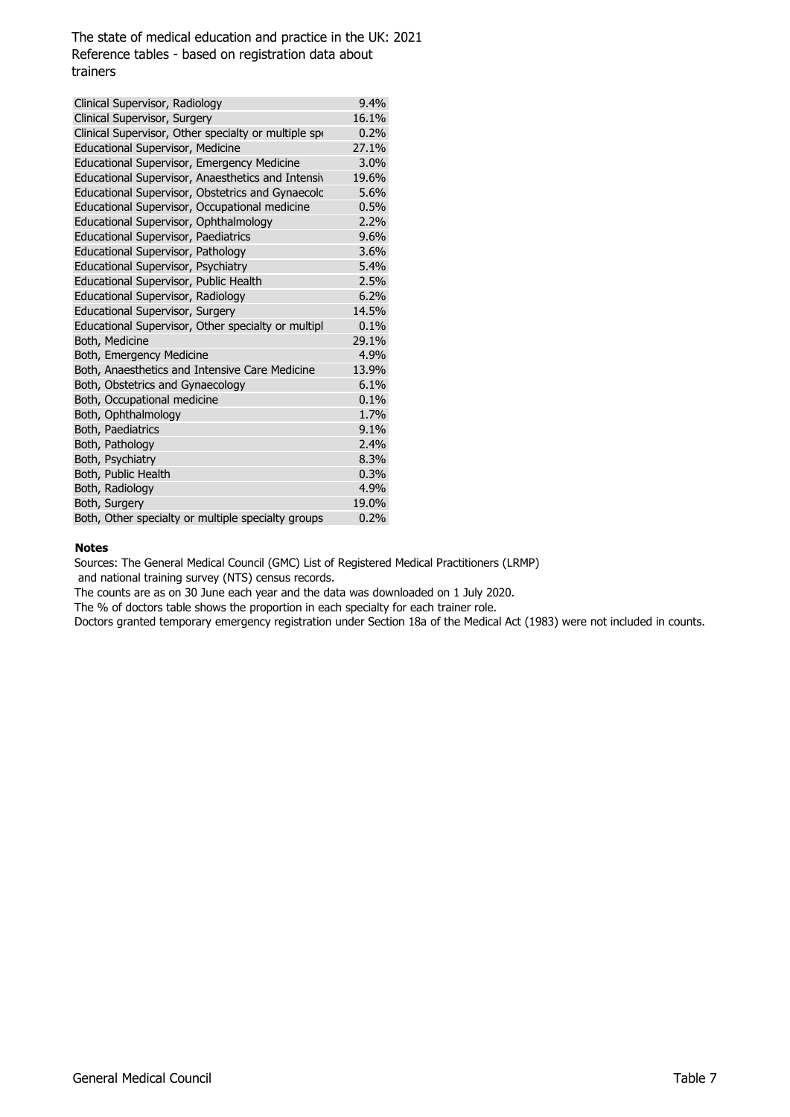| Clinical Supervisor, Radiology                       | 9.4%  |
|------------------------------------------------------|-------|
| Clinical Supervisor, Surgery                         | 16.1% |
| Clinical Supervisor, Other specialty or multiple spo | 0.2%  |
| <b>Educational Supervisor, Medicine</b>              | 27.1% |
| Educational Supervisor, Emergency Medicine           | 3.0%  |
| Educational Supervisor, Anaesthetics and Intensiv    | 19.6% |
| Educational Supervisor, Obstetrics and Gynaecolc     | 5.6%  |
| Educational Supervisor, Occupational medicine        | 0.5%  |
| Educational Supervisor, Ophthalmology                | 2.2%  |
| Educational Supervisor, Paediatrics                  | 9.6%  |
| Educational Supervisor, Pathology                    | 3.6%  |
| Educational Supervisor, Psychiatry                   | 5.4%  |
| Educational Supervisor, Public Health                | 2.5%  |
| Educational Supervisor, Radiology                    | 6.2%  |
| Educational Supervisor, Surgery                      | 14.5% |
| Educational Supervisor, Other specialty or multipl   | 0.1%  |
| Both, Medicine                                       | 29.1% |
| Both, Emergency Medicine                             | 4.9%  |
| Both, Anaesthetics and Intensive Care Medicine       | 13.9% |
| Both, Obstetrics and Gynaecology                     | 6.1%  |
| Both, Occupational medicine                          | 0.1%  |
| Both, Ophthalmology                                  | 1.7%  |
| Both, Paediatrics                                    | 9.1%  |
| Both, Pathology                                      | 2.4%  |
| Both, Psychiatry                                     | 8.3%  |
| Both, Public Health                                  | 0.3%  |
| Both, Radiology                                      | 4.9%  |
| Both, Surgery                                        | 19.0% |
| Both, Other specialty or multiple specialty groups   | 0.2%  |

#### **Notes**

Sources: The General Medical Council (GMC) List of Registered Medical Practitioners (LRMP)

and national training survey (NTS) census records.

The counts are as on 30 June each year and the data was downloaded on 1 July 2020.

The % of doctors table shows the proportion in each specialty for each trainer role.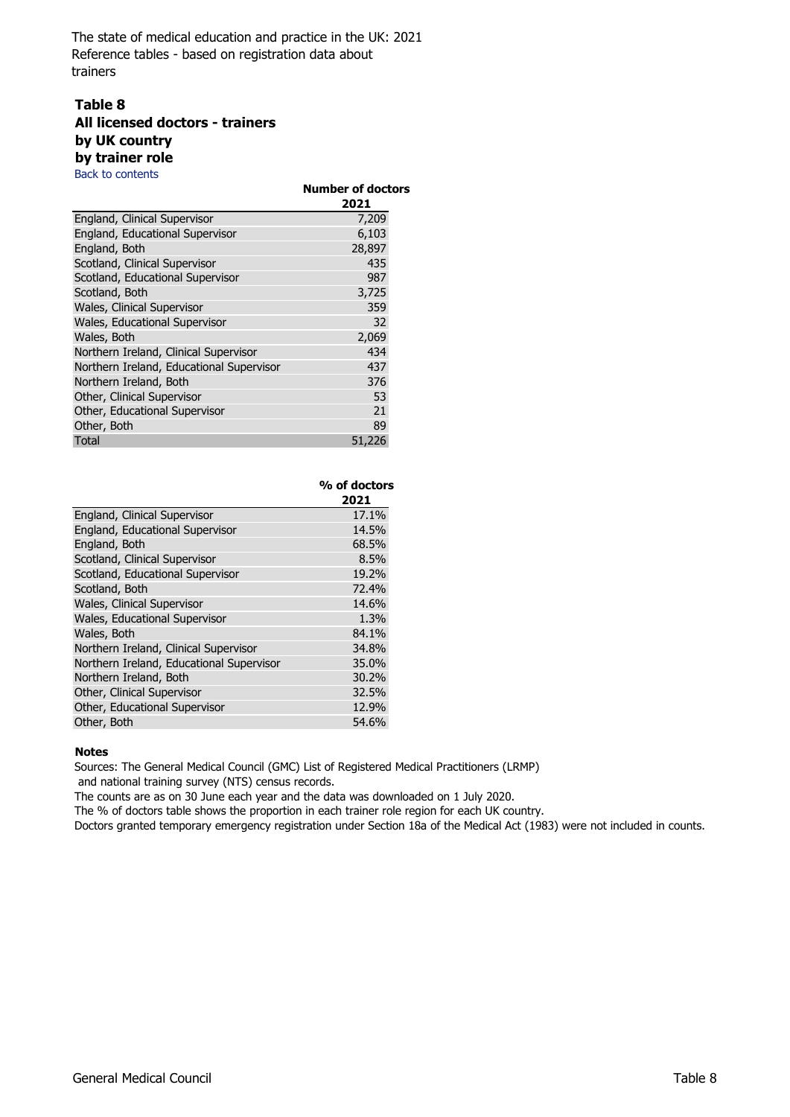## **Table 8 All licensed doctors - trainers by UK country by trainer role**

Back to contents

|                                          | <b>Number of doctors</b><br>2021 |  |
|------------------------------------------|----------------------------------|--|
| England, Clinical Supervisor             | 7,209                            |  |
| England, Educational Supervisor          | 6,103                            |  |
| England, Both                            | 28,897                           |  |
| Scotland, Clinical Supervisor            | 435                              |  |
| Scotland, Educational Supervisor         | 987                              |  |
| Scotland, Both                           | 3,725                            |  |
| Wales, Clinical Supervisor               | 359                              |  |
| Wales, Educational Supervisor            | 32                               |  |
| Wales, Both                              | 2,069                            |  |
| Northern Ireland, Clinical Supervisor    | 434                              |  |
| Northern Ireland, Educational Supervisor | 437                              |  |
| Northern Ireland, Both                   | 376                              |  |
| Other, Clinical Supervisor               | 53                               |  |
| Other, Educational Supervisor            | 21                               |  |
| Other, Both                              | 89                               |  |
| Total                                    | 51,226                           |  |

|                                          | % of doctors |  |
|------------------------------------------|--------------|--|
|                                          | 2021         |  |
| England, Clinical Supervisor             | 17.1%        |  |
| England, Educational Supervisor          | 14.5%        |  |
| England, Both                            | 68.5%        |  |
| Scotland, Clinical Supervisor            | 8.5%         |  |
| Scotland, Educational Supervisor         | 19.2%        |  |
| Scotland, Both                           | 72.4%        |  |
| Wales, Clinical Supervisor               | 14.6%        |  |
| Wales, Educational Supervisor            | 1.3%         |  |
| Wales, Both                              | 84.1%        |  |
| Northern Ireland, Clinical Supervisor    | 34.8%        |  |
| Northern Ireland, Educational Supervisor | 35.0%        |  |
| Northern Ireland, Both                   | 30.2%        |  |
| Other, Clinical Supervisor               | 32.5%        |  |
| Other, Educational Supervisor            | 12.9%        |  |
| Other, Both                              | 54.6%        |  |

### **Notes**

Sources: The General Medical Council (GMC) List of Registered Medical Practitioners (LRMP) and national training survey (NTS) census records.

The counts are as on 30 June each year and the data was downloaded on 1 July 2020.

The % of doctors table shows the proportion in each trainer role region for each UK country.